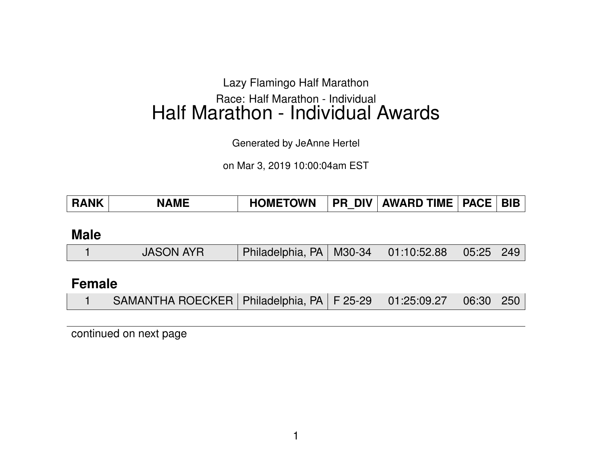# Lazy Flamingo Half Marathon Race: Half Marathon - Individual Half Marathon - Individual Awards

Generated by JeAnne Hertel

on Mar 3, 2019 10:00:04am EST

| <b>RANK</b> | <b>NAME</b> | <b>HOMETOWN</b> |  | PR DIV   AWARD TIME   PACE |  | <b>BIB</b> |
|-------------|-------------|-----------------|--|----------------------------|--|------------|
|-------------|-------------|-----------------|--|----------------------------|--|------------|

#### **Male**

|  | <b>JASON AYR</b> | Philadelphia, PA   M30-34   01:10:52.88   05:25   249 |  |  |  |  |
|--|------------------|-------------------------------------------------------|--|--|--|--|
|--|------------------|-------------------------------------------------------|--|--|--|--|

### **Female**

|  | SAMANTHA ROECKER   Philadelphia, PA   F 25-29   01:25:09.27   06:30   250 |  |  |  |  |  |
|--|---------------------------------------------------------------------------|--|--|--|--|--|
|--|---------------------------------------------------------------------------|--|--|--|--|--|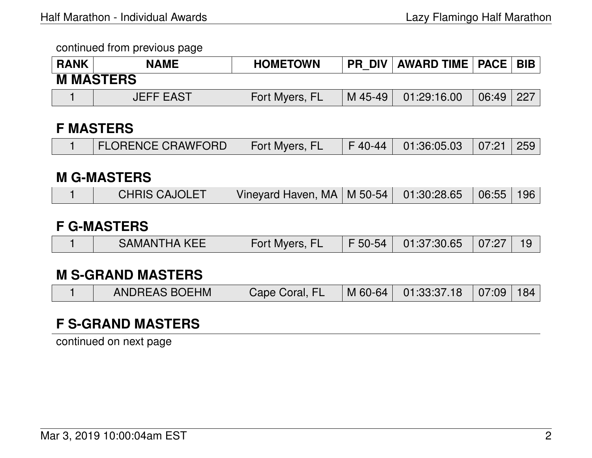| <b>RANK</b> | <b>NAME</b>      | <b>HOMETOWN</b> | <b>PR DIV</b> | AWARD TIME   PACE   BIB |       |     |
|-------------|------------------|-----------------|---------------|-------------------------|-------|-----|
|             | <b>M MASTERS</b> |                 |               |                         |       |     |
|             | <b>JEFF EAST</b> | Fort Myers, FL  | M 45-49       | 01:29:16.00             | 06:49 | 227 |

#### **F MASTERS**

|  | <b>FLORENCE CRAWFORD</b> | Fort Myers, FL |  | F 40-44   01:36:05.03   07:21   259 |  |  |
|--|--------------------------|----------------|--|-------------------------------------|--|--|
|--|--------------------------|----------------|--|-------------------------------------|--|--|

#### **M G-MASTERS**

|  | <b>CHRIS CAJOLET</b> | Vinevard Haven, MA   M 50-54   01:30:28.65   06:55   196 |  |  |  |  |
|--|----------------------|----------------------------------------------------------|--|--|--|--|
|--|----------------------|----------------------------------------------------------|--|--|--|--|

#### **F G-MASTERS**

|  | <b>SAMANTHA KEE</b> | Fort Myers, FL |  | F 50-54 01:37:30.65 07:27 19 |  |  |
|--|---------------------|----------------|--|------------------------------|--|--|
|--|---------------------|----------------|--|------------------------------|--|--|

### **M S-GRAND MASTERS**

|  | <b>ANDREAS BOEHM</b> | Cape Coral, FL |  | M 60-64 01:33:37.18 07:09 184 |  |  |
|--|----------------------|----------------|--|-------------------------------|--|--|
|--|----------------------|----------------|--|-------------------------------|--|--|

# **F S-GRAND MASTERS**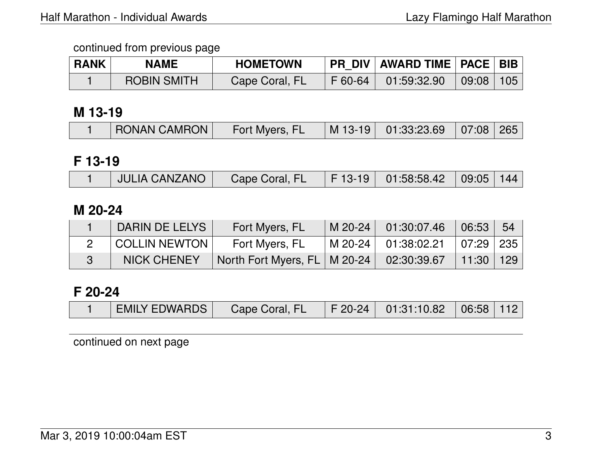| <b>RANK</b> | <b>NAME</b>        | <b>HOMETOWN</b> | PR_DIV   AWARD TIME   PACE   BIB |     |
|-------------|--------------------|-----------------|----------------------------------|-----|
|             | <b>ROBIN SMITH</b> | Cape Coral, FL  | F 60-64 01:59:32.90 09:08        | 105 |

### **M 13-19**

| <b>RONAN CAMRON</b><br>Fort Myers, FL | $\mid$ M 13-19 $\mid$ 01:33:23.69 $\mid$ 07:08 265 |
|---------------------------------------|----------------------------------------------------|
|---------------------------------------|----------------------------------------------------|

### **F 13-19**

|  | <b>JULIA CANZANO</b> | Cape Coral, FL |  | $\mid$ F 13-19 $\mid$ 01:58:58.42 $\mid$ 09:05 144 |  |  |
|--|----------------------|----------------|--|----------------------------------------------------|--|--|
|--|----------------------|----------------|--|----------------------------------------------------|--|--|

#### **M 20-24**

| DARIN DE LELYS       | Fort Myers, FL                                             | M 20-24 01:30:07.46 06:53     | 54 |
|----------------------|------------------------------------------------------------|-------------------------------|----|
| <b>COLLIN NEWTON</b> | Fort Myers, FL                                             | M 20-24 01:38:02.21 07:29 235 |    |
| <b>NICK CHENEY</b>   | North Fort Myers, FL   M 20-24   02:30:39.67   11:30   129 |                               |    |

### **F 20-24**

| <b>EMILY EDWARDS</b><br>$\mid$ F 20-24 $\mid$ 01:31:10.82 $\mid$ 06:58 $\mid$ 112<br>Cape Coral, FL |
|-----------------------------------------------------------------------------------------------------|
|-----------------------------------------------------------------------------------------------------|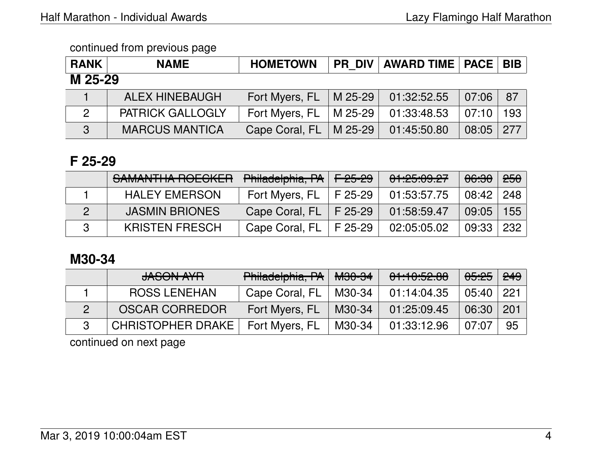| <b>RANK</b>    | <b>NAME</b>             | <b>HOMETOWN</b>            | PR DIV   AWARD TIME   PACE   BIB |       |     |
|----------------|-------------------------|----------------------------|----------------------------------|-------|-----|
| M 25-29        |                         |                            |                                  |       |     |
|                | <b>ALEX HINEBAUGH</b>   | Fort Myers, FL   M 25-29   | 01:32:52.55                      | 07:06 | 87  |
| $\overline{2}$ | <b>PATRICK GALLOGLY</b> | Fort Myers, FL   M $25-29$ | 01:33:48.53                      | 07:10 | 193 |
| $\mathbf{3}$   | <b>MARCUS MANTICA</b>   | Cape Coral, FL   M 25-29   | 01:45:50.80                      | 08:05 | 277 |

### **F 25-29**

| SAMANTHA ROECKER      | Philadelphia, PA         | $\sqrt{25-29}$ | 01:25:09.27 | <del>06:30</del> | <del>250</del>   |
|-----------------------|--------------------------|----------------|-------------|------------------|------------------|
| <b>HALEY EMERSON</b>  | Fort Myers, FL           | F 25-29        | 01:53:57.75 | 08:42            | 248              |
| <b>JASMIN BRIONES</b> | Cape Coral, FL   F 25-29 |                | 01:58:59.47 | 09:05            | 155              |
| <b>KRISTEN FRESCH</b> | Cape Coral, FL           | F 25-29        | 02:05:05.02 | 09:33            | 232 <sub>1</sub> |

# **M30-34**

| <b>JASON AYR</b>         | Philadelphia, PA | <b>M30-34</b> | 01:10:52.88 | <del>05:25</del> | 249 |
|--------------------------|------------------|---------------|-------------|------------------|-----|
| <b>ROSS LENEHAN</b>      | Cape Coral, FL   | M30-34        | 01:14:04.35 | 05:40            | 221 |
| <b>OSCAR CORREDOR</b>    | Fort Myers, FL   | M30-34        | 01:25:09.45 | 06:30            | 201 |
| <b>CHRISTOPHER DRAKE</b> | Fort Myers, FL   | M30-34        | 01:33:12.96 | 07:07            | 95  |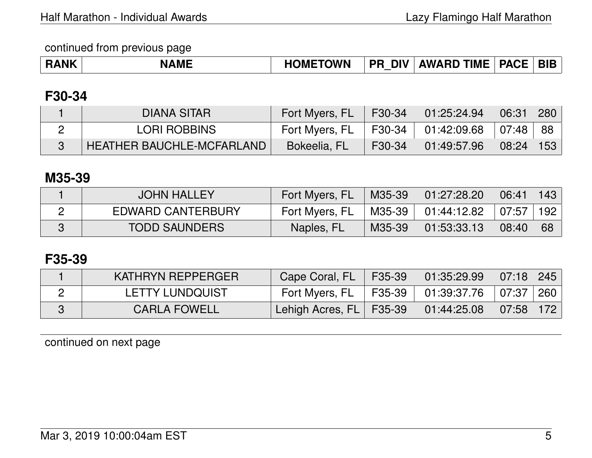| <b>RANK</b> | <b>NAME</b> | <b>HOMETOWN</b> | DIV .<br><b>PR</b> | <b>AWARD TIME   PACE   BIB</b> |  |  |
|-------------|-------------|-----------------|--------------------|--------------------------------|--|--|
|-------------|-------------|-----------------|--------------------|--------------------------------|--|--|

### **F30-34**

| DIANA SITAR                      | Fort Myers, FL      | F30-34 L | $\parallel$ 01:25:24.94 | $\sqrt{06:31}$ | $\mid$ 280 $\mid$ |
|----------------------------------|---------------------|----------|-------------------------|----------------|-------------------|
| <b>LORI ROBBINS</b>              | Fort Myers, FL      |          | F30-34   01:42:09.68    | 07:48          | 88                |
| <b>HEATHER BAUCHLE-MCFARLAND</b> | <b>Bokeelia, FL</b> | F30-34   | 01:49:57.96             | 08:24   153    |                   |

### **M35-39**

| <b>JOHN HALLEY</b>       | Fort Myers, FL | M35-39   | 01:27:28.20 | 06:41 | 143 |
|--------------------------|----------------|----------|-------------|-------|-----|
| <b>EDWARD CANTERBURY</b> | Fort Myers, FL | M35-39 I | 01:44:12.82 | 07:57 | 192 |
| <b>TODD SAUNDERS</b>     | Naples, FL     | M35-39   | 01:53:33.13 | 08:40 | 68  |

### **F35-39**

| KATHRYN REPPERGER      | Cape Coral, FL                | F35-39 | 01:35:29.99 | 07:18 245         |     |
|------------------------|-------------------------------|--------|-------------|-------------------|-----|
| <b>LETTY LUNDQUIST</b> | Fort Myers, FL                | F35-39 | 01:39:37.76 | 07:37             | 260 |
| <b>CARLA FOWELL</b>    | ∖ Lehigh Acres, FL   F35-39 ∖ |        | 01:44:25.08 | $\mid 07:58 \mid$ |     |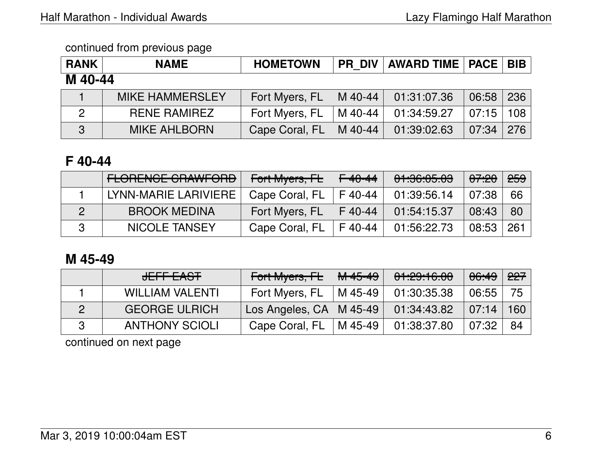| <b>RANK</b>    | <b>NAME</b>            | <b>HOMETOWN</b> | <b>PR DIV</b> | <b>AWARD TIME   PACE   BIB</b> |       |     |
|----------------|------------------------|-----------------|---------------|--------------------------------|-------|-----|
| M 40-44        |                        |                 |               |                                |       |     |
|                | <b>MIKE HAMMERSLEY</b> | Fort Myers, FL  | M 40-44       | 01:31:07.36                    | 06:58 | 236 |
| $\overline{2}$ | <b>RENE RAMIREZ</b>    | Fort Myers, FL  | M 40-44       | 01:34:59.27                    | 07:15 | 108 |
| 3              | <b>MIKE AHLBORN</b>    | Cape Coral, FL  | M 40-44       | 01:39:02.63                    | 07:34 | 276 |

# **F 40-44**

| <b>FLORENCE CRAWFORD</b> | Fort Myers, FL | <del>F 40-44</del> | 01:36:05.03 | <del>07:20</del> | <del>259</del> |
|--------------------------|----------------|--------------------|-------------|------------------|----------------|
| LYNN-MARIE LARIVIERE     | Cape Coral, FL | F40-44             | 01:39:56.14 | 07:38            | 66             |
| <b>BROOK MEDINA</b>      | Fort Myers, FL | F 40-44            | 01:54:15.37 | 08:43            | 80             |
| NICOLE TANSEY            | Cape Coral, FL | F 40-44            | 01:56:22.73 | 08:53            | 261            |

# **M 45-49**

| JEFF EAST              | Fort Myers, FL            | <del>M 45-49</del> | 01:29:16.00 | 06:49 | 227 |
|------------------------|---------------------------|--------------------|-------------|-------|-----|
| <b>WILLIAM VALENTI</b> | Fort Myers, FL            | M 45-49            | 01:30:35.38 | 06:55 | 75  |
| <b>GEORGE ULRICH</b>   | Los Angeles, CA   M 45-49 |                    | 01:34:43.82 | 07:14 | 160 |
| <b>ANTHONY SCIOLI</b>  | Cape Coral, FL            | M 45-49            | 01:38:37.80 | 07:32 | 84  |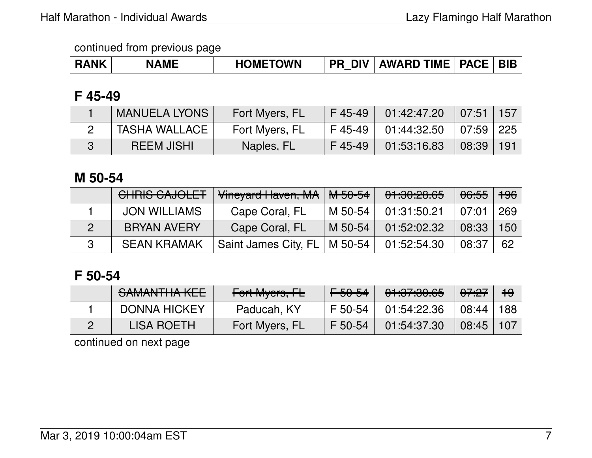| <b>ANK</b> | <b>MF</b> | <b>TOWN</b><br>$\blacksquare$ ) $\blacksquare$<br>нo | <b>DIV</b><br><b>PR</b> | <b>AWARD TIME</b> | <b>PACE</b> | <b>BIE</b> |
|------------|-----------|------------------------------------------------------|-------------------------|-------------------|-------------|------------|
|------------|-----------|------------------------------------------------------|-------------------------|-------------------|-------------|------------|

# **F 45-49**

| <b>MANUELA LYONS</b> | Fort Myers, FL | $F$ 45-49 | 01:42:47.20                         | $\mid 07:51 \mid 157 \mid$     |  |
|----------------------|----------------|-----------|-------------------------------------|--------------------------------|--|
| TASHA WALLACE        | Fort Myers, FL |           | F 45-49   01:44:32.50   07:59   225 |                                |  |
| <b>REEM JISHI</b>    | Naples, FL     | $F$ 45-49 | 01:53:16.83                         | $\mid$ 08:39 $\mid$ 191 $\mid$ |  |

# **M 50-54**

| CHRIS CAJOLET       | Vineyard Haven, MA   | M 50-54 | 01:30:28.65 | 06:55 | <del>196</del> |
|---------------------|----------------------|---------|-------------|-------|----------------|
| <b>JON WILLIAMS</b> | Cape Coral, FL       | M 50-54 | 01:31:50.21 | 07:01 | 269            |
| <b>BRYAN AVERY</b>  | Cape Coral, FL       | M 50-54 | 01:52:02.32 | 08:33 | 150            |
| <b>SEAN KRAMAK</b>  | Saint James City, FL | M 50-54 | 01:52:54.30 | 08:37 | 62             |

# **F 50-54**

| SAMANTHA KEE        | Fort Myers, FL | <del>F 50-54</del> | 01:37:30.65 | <del>07:27</del> | <del>19</del> |
|---------------------|----------------|--------------------|-------------|------------------|---------------|
| <b>DONNA HICKEY</b> | Paducah, KY    | F 50-54            | 01:54:22.36 | 08:44            | 188           |
| LISA ROETH          | Fort Myers, FL | F 50-54            | 01:54:37.30 | 08:45            | 107           |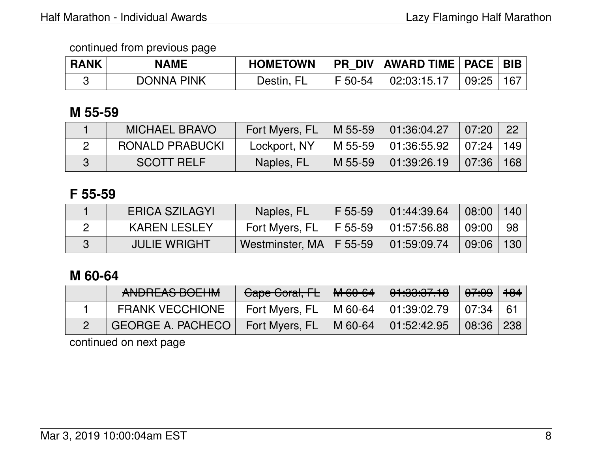| <b>RANK</b> | NAME              | <b>HOMETOWN</b> | PR DIV   AWARD TIME   PACE   BIB |       |     |
|-------------|-------------------|-----------------|----------------------------------|-------|-----|
|             | <b>DONNA PINK</b> | Destin, FL      | F 50-54 Q2:03:15.17              | 09:25 | 167 |

### **M 55-59**

| <b>MICHAEL BRAVO</b>   | Fort Myers, FL |         | $\mid$ M 55-59 $\mid$ 01:36:04.27 | 07:20         | - 22 |
|------------------------|----------------|---------|-----------------------------------|---------------|------|
| <b>RONALD PRABUCKI</b> | Lockport, NY   |         | M 55-59 01:36:55.92               | 07:24   149   |      |
| <b>SCOTT RELF</b>      | Naples, FL     | M 55-59 | 01:39:26.19                       | $07:36$   168 |      |

### **F 55-59**

| ERICA SZILAGYI      | Naples, FL                | F 55-59 | 01:44:39.64                       | 08:00 | 140 |
|---------------------|---------------------------|---------|-----------------------------------|-------|-----|
| <b>KAREN LESLEY</b> | Fort Myers, FL            |         | $\mid$ F 55-59 $\mid$ 01:57:56.88 | 09:00 | 98  |
| JULIE WRIGHT        | Westminster, MA   F 55-59 |         | 01:59:09.74                       | 09:06 | 130 |

# **M 60-64**

| ANDREAS BOEHM            | Cape Coral, FL | M-60-64   | 01:33:37.18                         | 07:09 | $+84$ |
|--------------------------|----------------|-----------|-------------------------------------|-------|-------|
| <b>FRANK VECCHIONE</b>   | Fort Myers, FL |           | $\vert$ M 60-64 $\vert$ 01:39:02.79 | 07:34 | - 61  |
| <b>GEORGE A. PACHECO</b> | Fort Myers, FL | $M$ 60-64 | 01:52:42.95                         | 08:36 | 238   |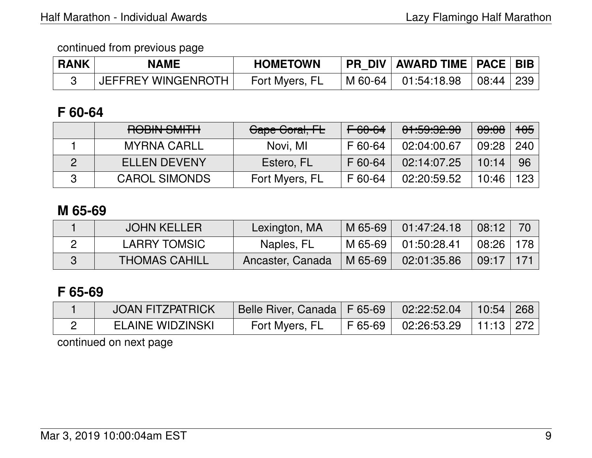| <b>RANK</b> | NAME               | <b>HOMETOWN</b> | PR DIV   AWARD TIME   PACE   BIB          |  |
|-------------|--------------------|-----------------|-------------------------------------------|--|
|             | JEFFREY WINGENROTH | Fort Myers, FL  | M 60-64     01:54:18.98       08:44   239 |  |

## **F 60-64**

| DODIN CMITLE<br><b>TIUDIIY OIVILLIT</b> | Gape Goral, FL | <del>F 60-64</del> | <u>A LA QA AA</u><br><u>UT, JU, CU, UU</u> | 09:08 | <del>105</del> |
|-----------------------------------------|----------------|--------------------|--------------------------------------------|-------|----------------|
| <b>MYRNA CARLL</b>                      | Novi, MI       | F 60-64            | 02:04:00.67                                | 09:28 | 240            |
| <b>ELLEN DEVENY</b>                     | Estero, FL     | F 60-64            | 02:14:07.25                                | 10:14 | 96             |
| <b>CAROL SIMONDS</b>                    | Fort Myers, FL | F 60-64            | 02:20:59.52                                | 10:46 | 123            |

### **M 65-69**

| <b>JOHN KELLER</b>   | Lexington, MA    | M 65-69     | 01:47:24.18 | 08:12          | 70  |
|----------------------|------------------|-------------|-------------|----------------|-----|
| LARRY TOMSIC         | Naples, FL       | M 65-69 $ $ | 01:50:28.41 | $08:26$   178  |     |
| <b>THOMAS CAHILL</b> | Ancaster, Canada | $M$ 65-69   | 02:01:35.86 | $\sqrt{09:17}$ | 171 |

# **F 65-69**

| <b>JOAN FITZPATRICK</b> | Belle River, Canada   F 65-69   02:22:52.04 |                                                 | 10:54 268 |  |
|-------------------------|---------------------------------------------|-------------------------------------------------|-----------|--|
| <b>ELAINE WIDZINSKI</b> | Fort Myers, FL                              | $\mid$ F 65-69 $\mid$ 02:26:53.29   11:13   272 |           |  |